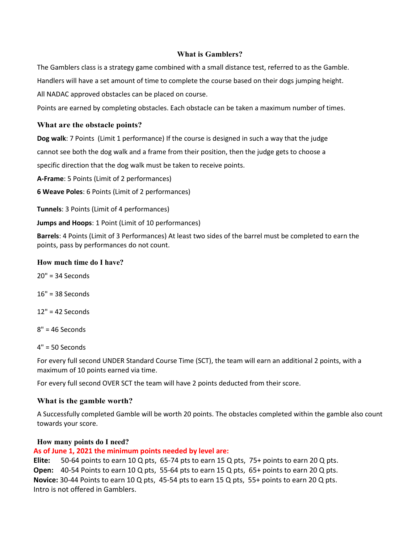## **What is Gamblers?**

The Gamblers class is a strategy game combined with a small distance test, referred to as the Gamble. Handlers will have a set amount of time to complete the course based on their dogs jumping height. All NADAC approved obstacles can be placed on course.

Points are earned by completing obstacles. Each obstacle can be taken a maximum number of times.

### **What are the obstacle points?**

**Dog walk**: 7 Points (Limit 1 performance) If the course is designed in such a way that the judge cannot see both the dog walk and a frame from their position, then the judge gets to choose a specific direction that the dog walk must be taken to receive points.

**A-Frame**: 5 Points (Limit of 2 performances)

**6 Weave Poles**: 6 Points (Limit of 2 performances)

**Tunnels**: 3 Points (Limit of 4 performances)

**Jumps and Hoops**: 1 Point (Limit of 10 performances)

**Barrels**: 4 Points (Limit of 3 Performances) At least two sides of the barrel must be completed to earn the points, pass by performances do not count.

#### **How much time do I have?**

20" = 34 Seconds

16" = 38 Seconds

12" = 42 Seconds

 $8" = 46$  Seconds

4" = 50 Seconds

For every full second UNDER Standard Course Time (SCT), the team will earn an additional 2 points, with a maximum of 10 points earned via time.

For every full second OVER SCT the team will have 2 points deducted from their score.

# **What is the gamble worth?**

A Successfully completed Gamble will be worth 20 points. The obstacles completed within the gamble also count towards your score.

#### **How many points do I need?**

**As of June 1, 2021 the minimum points needed by level are:** 

**Elite:** 50-64 points to earn 10 Q pts, 65-74 pts to earn 15 Q pts, 75+ points to earn 20 Q pts. **Open:** 40-54 Points to earn 10 Q pts, 55-64 pts to earn 15 Q pts, 65+ points to earn 20 Q pts. **Novice:** 30-44 Points to earn 10 Q pts, 45-54 pts to earn 15 Q pts, 55+ points to earn 20 Q pts. Intro is not offered in Gamblers.